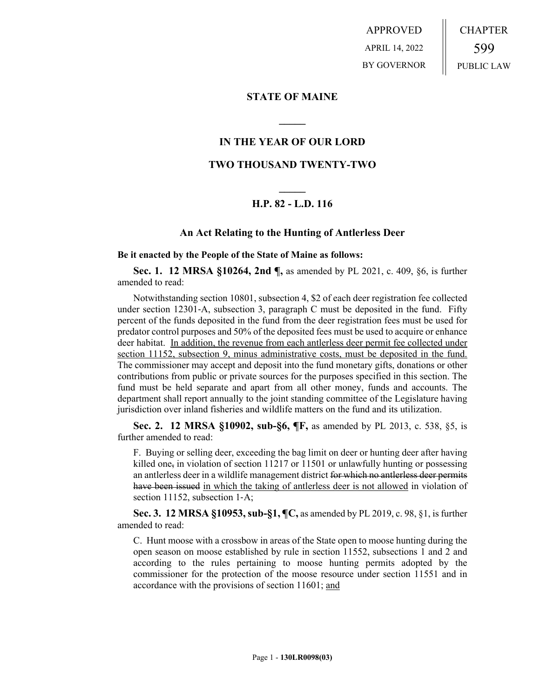APPROVED APRIL 14, 2022 BY GOVERNOR CHAPTER 599 PUBLIC LAW

# **STATE OF MAINE**

# **IN THE YEAR OF OUR LORD**

**\_\_\_\_\_**

# **TWO THOUSAND TWENTY-TWO**

# **\_\_\_\_\_ H.P. 82 - L.D. 116**

## **An Act Relating to the Hunting of Antlerless Deer**

**Be it enacted by the People of the State of Maine as follows:**

**Sec. 1. 12 MRSA §10264, 2nd ¶,** as amended by PL 2021, c. 409, §6, is further amended to read:

Notwithstanding section 10801, subsection 4, \$2 of each deer registration fee collected under section 12301–A, subsection 3, paragraph C must be deposited in the fund. Fifty percent of the funds deposited in the fund from the deer registration fees must be used for predator control purposes and 50% of the deposited fees must be used to acquire or enhance deer habitat. In addition, the revenue from each antlerless deer permit fee collected under section 11152, subsection 9, minus administrative costs, must be deposited in the fund. The commissioner may accept and deposit into the fund monetary gifts, donations or other contributions from public or private sources for the purposes specified in this section. The fund must be held separate and apart from all other money, funds and accounts. The department shall report annually to the joint standing committee of the Legislature having jurisdiction over inland fisheries and wildlife matters on the fund and its utilization.

**Sec. 2. 12 MRSA §10902, sub-§6, ¶F,** as amended by PL 2013, c. 538, §5, is further amended to read:

F. Buying or selling deer, exceeding the bag limit on deer or hunting deer after having killed one<sub>z</sub> in violation of section 11217 or 11501 or unlawfully hunting or possessing an antlerless deer in a wildlife management district for which no antlerless deer permits have been issued in which the taking of antlerless deer is not allowed in violation of section 11152, subsection 1-A;

**Sec. 3. 12 MRSA §10953, sub-§1, ¶C,** as amended by PL 2019, c. 98, §1, is further amended to read:

C. Hunt moose with a crossbow in areas of the State open to moose hunting during the open season on moose established by rule in section 11552, subsections 1 and 2 and according to the rules pertaining to moose hunting permits adopted by the commissioner for the protection of the moose resource under section 11551 and in accordance with the provisions of section 11601; and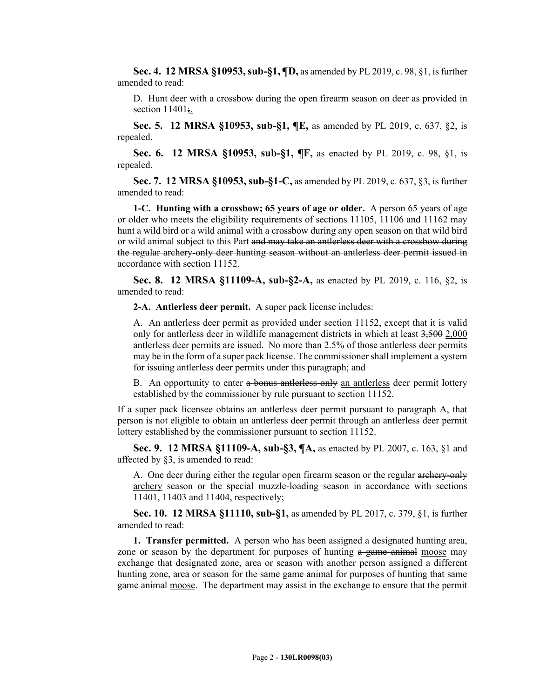**Sec. 4. 12 MRSA §10953, sub-§1, ¶D,** as amended by PL 2019, c. 98, §1, is further amended to read:

D. Hunt deer with a crossbow during the open firearm season on deer as provided in section  $11401$ ;

**Sec. 5. 12 MRSA §10953, sub-§1, ¶E,** as amended by PL 2019, c. 637, §2, is repealed.

**Sec. 6. 12 MRSA §10953, sub-§1, ¶F,** as enacted by PL 2019, c. 98, §1, is repealed.

**Sec. 7. 12 MRSA §10953, sub-§1-C,** as amended by PL 2019, c. 637, §3, is further amended to read:

**1-C. Hunting with a crossbow; 65 years of age or older.** A person 65 years of age or older who meets the eligibility requirements of sections 11105, 11106 and 11162 may hunt a wild bird or a wild animal with a crossbow during any open season on that wild bird or wild animal subject to this Part and may take an antlerless deer with a crossbow during the regular archery-only deer hunting season without an antlerless deer permit issued in accordance with section 11152.

**Sec. 8. 12 MRSA §11109-A, sub-§2-A,** as enacted by PL 2019, c. 116, §2, is amended to read:

**2-A. Antlerless deer permit.** A super pack license includes:

A. An antlerless deer permit as provided under section 11152, except that it is valid only for antlerless deer in wildlife management districts in which at least 3,500 2,000 antlerless deer permits are issued. No more than 2.5% of those antlerless deer permits may be in the form of a super pack license. The commissioner shall implement a system for issuing antlerless deer permits under this paragraph; and

B. An opportunity to enter a bonus antlerless-only an antlerless deer permit lottery established by the commissioner by rule pursuant to section 11152.

If a super pack licensee obtains an antlerless deer permit pursuant to paragraph A, that person is not eligible to obtain an antlerless deer permit through an antlerless deer permit lottery established by the commissioner pursuant to section 11152.

**Sec. 9. 12 MRSA §11109-A, sub-§3, ¶A,** as enacted by PL 2007, c. 163, §1 and affected by §3, is amended to read:

A. One deer during either the regular open firearm season or the regular archery-only archery season or the special muzzle-loading season in accordance with sections 11401, 11403 and 11404, respectively;

**Sec. 10. 12 MRSA §11110, sub-§1,** as amended by PL 2017, c. 379, §1, is further amended to read:

**1. Transfer permitted.** A person who has been assigned a designated hunting area, zone or season by the department for purposes of hunting a game animal moose may exchange that designated zone, area or season with another person assigned a different hunting zone, area or season for the same game animal for purposes of hunting that same game animal moose. The department may assist in the exchange to ensure that the permit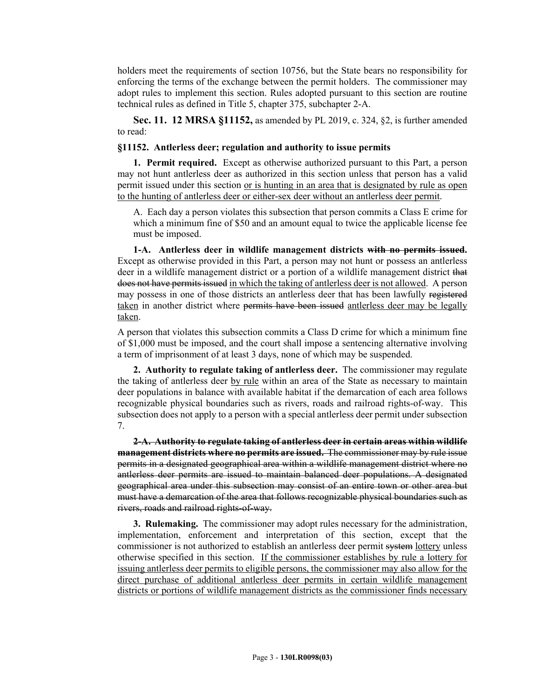holders meet the requirements of section 10756, but the State bears no responsibility for enforcing the terms of the exchange between the permit holders. The commissioner may adopt rules to implement this section. Rules adopted pursuant to this section are routine technical rules as defined in Title 5, chapter 375, subchapter 2-A.

**Sec. 11. 12 MRSA §11152,** as amended by PL 2019, c. 324, §2, is further amended to read:

### **§11152. Antlerless deer; regulation and authority to issue permits**

**1. Permit required.** Except as otherwise authorized pursuant to this Part, a person may not hunt antlerless deer as authorized in this section unless that person has a valid permit issued under this section or is hunting in an area that is designated by rule as open to the hunting of antlerless deer or either-sex deer without an antlerless deer permit.

A. Each day a person violates this subsection that person commits a Class E crime for which a minimum fine of \$50 and an amount equal to twice the applicable license fee must be imposed.

**1-A. Antlerless deer in wildlife management districts with no permits issued.**  Except as otherwise provided in this Part, a person may not hunt or possess an antlerless deer in a wildlife management district or a portion of a wildlife management district that does not have permits issued in which the taking of antlerless deer is not allowed. A person may possess in one of those districts an antlerless deer that has been lawfully registered taken in another district where permits have been issued antlerless deer may be legally taken.

A person that violates this subsection commits a Class D crime for which a minimum fine of \$1,000 must be imposed, and the court shall impose a sentencing alternative involving a term of imprisonment of at least 3 days, none of which may be suspended.

**2. Authority to regulate taking of antlerless deer.** The commissioner may regulate the taking of antlerless deer by rule within an area of the State as necessary to maintain deer populations in balance with available habitat if the demarcation of each area follows recognizable physical boundaries such as rivers, roads and railroad rights-of-way. This subsection does not apply to a person with a special antlerless deer permit under subsection 7.

**2-A. Authority to regulate taking of antlerless deer in certain areas within wildlife management districts where no permits are issued.** The commissioner may by rule issue permits in a designated geographical area within a wildlife management district where no antlerless deer permits are issued to maintain balanced deer populations. A designated geographical area under this subsection may consist of an entire town or other area but must have a demarcation of the area that follows recognizable physical boundaries such as rivers, roads and railroad rights-of-way.

**3. Rulemaking.** The commissioner may adopt rules necessary for the administration, implementation, enforcement and interpretation of this section, except that the commissioner is not authorized to establish an antlerless deer permit system lottery unless otherwise specified in this section. If the commissioner establishes by rule a lottery for issuing antlerless deer permits to eligible persons, the commissioner may also allow for the direct purchase of additional antlerless deer permits in certain wildlife management districts or portions of wildlife management districts as the commissioner finds necessary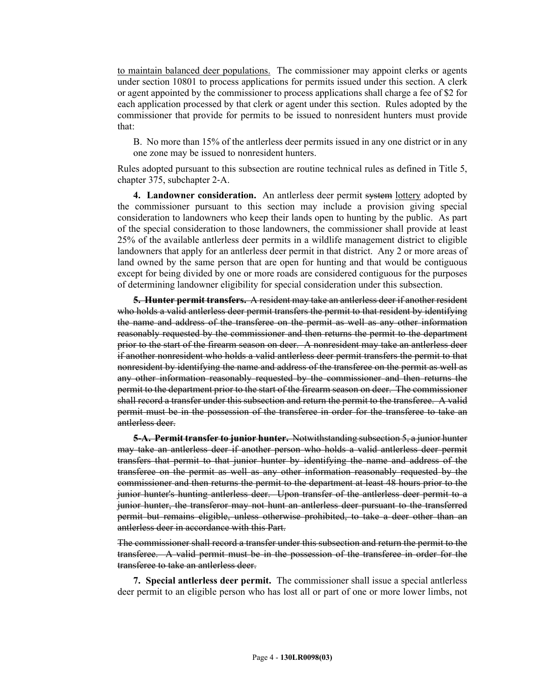to maintain balanced deer populations. The commissioner may appoint clerks or agents under section 10801 to process applications for permits issued under this section. A clerk or agent appointed by the commissioner to process applications shall charge a fee of \$2 for each application processed by that clerk or agent under this section. Rules adopted by the commissioner that provide for permits to be issued to nonresident hunters must provide that:

B. No more than 15% of the antlerless deer permits issued in any one district or in any one zone may be issued to nonresident hunters.

Rules adopted pursuant to this subsection are routine technical rules as defined in Title 5, chapter 375, subchapter 2‑A.

**4. Landowner consideration.** An antlerless deer permit system lottery adopted by the commissioner pursuant to this section may include a provision giving special consideration to landowners who keep their lands open to hunting by the public. As part of the special consideration to those landowners, the commissioner shall provide at least 25% of the available antlerless deer permits in a wildlife management district to eligible landowners that apply for an antlerless deer permit in that district. Any 2 or more areas of land owned by the same person that are open for hunting and that would be contiguous except for being divided by one or more roads are considered contiguous for the purposes of determining landowner eligibility for special consideration under this subsection.

**5. Hunter permit transfers.** A resident may take an antlerless deer if another resident who holds a valid antlerless deer permit transfers the permit to that resident by identifying the name and address of the transferee on the permit as well as any other information reasonably requested by the commissioner and then returns the permit to the department prior to the start of the firearm season on deer. A nonresident may take an antlerless deer if another nonresident who holds a valid antlerless deer permit transfers the permit to that nonresident by identifying the name and address of the transferee on the permit as well as any other information reasonably requested by the commissioner and then returns the permit to the department prior to the start of the firearm season on deer. The commissioner shall record a transfer under this subsection and return the permit to the transferee. A valid permit must be in the possession of the transferee in order for the transferee to take an antlerless deer.

**5-A. Permit transfer to junior hunter.** Notwithstanding subsection 5, a junior hunter may take an antlerless deer if another person who holds a valid antlerless deer permit transfers that permit to that junior hunter by identifying the name and address of the transferee on the permit as well as any other information reasonably requested by the commissioner and then returns the permit to the department at least 48 hours prior to the junior hunter's hunting antlerless deer. Upon transfer of the antlerless deer permit to a junior hunter, the transferor may not hunt an antlerless deer pursuant to the transferred permit but remains eligible, unless otherwise prohibited, to take a deer other than an antlerless deer in accordance with this Part.

The commissioner shall record a transfer under this subsection and return the permit to the transferee. A valid permit must be in the possession of the transferee in order for the transferee to take an antlerless deer.

**7. Special antlerless deer permit.** The commissioner shall issue a special antlerless deer permit to an eligible person who has lost all or part of one or more lower limbs, not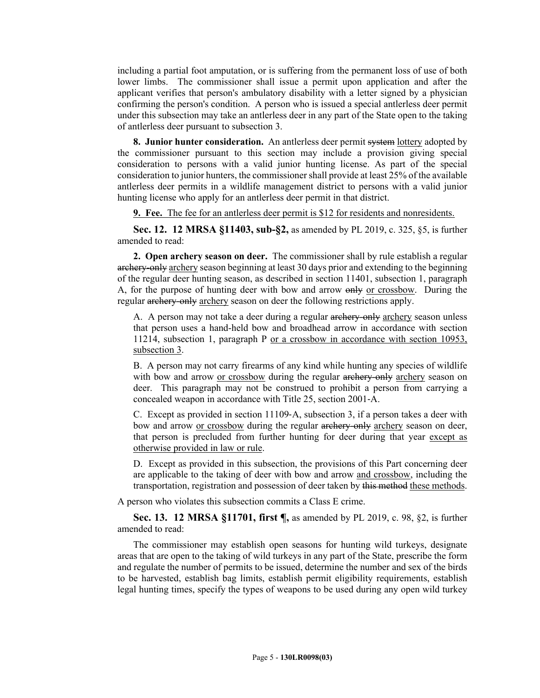including a partial foot amputation, or is suffering from the permanent loss of use of both lower limbs. The commissioner shall issue a permit upon application and after the applicant verifies that person's ambulatory disability with a letter signed by a physician confirming the person's condition. A person who is issued a special antlerless deer permit under this subsection may take an antlerless deer in any part of the State open to the taking of antlerless deer pursuant to subsection 3.

**8. Junior hunter consideration.** An antlerless deer permit system lottery adopted by the commissioner pursuant to this section may include a provision giving special consideration to persons with a valid junior hunting license. As part of the special consideration to junior hunters, the commissioner shall provide at least 25% of the available antlerless deer permits in a wildlife management district to persons with a valid junior hunting license who apply for an antlerless deer permit in that district.

**9. Fee.** The fee for an antlerless deer permit is \$12 for residents and nonresidents.

**Sec. 12. 12 MRSA §11403, sub-§2,** as amended by PL 2019, c. 325, §5, is further amended to read:

**2. Open archery season on deer.** The commissioner shall by rule establish a regular archery-only archery season beginning at least 30 days prior and extending to the beginning of the regular deer hunting season, as described in section 11401, subsection 1, paragraph A, for the purpose of hunting deer with bow and arrow only or crossbow. During the regular archery-only archery season on deer the following restrictions apply.

A. A person may not take a deer during a regular archery-only archery season unless that person uses a hand-held bow and broadhead arrow in accordance with section 11214, subsection 1, paragraph P or a crossbow in accordance with section 10953, subsection 3.

B. A person may not carry firearms of any kind while hunting any species of wildlife with bow and arrow or crossbow during the regular archery-only archery season on deer. This paragraph may not be construed to prohibit a person from carrying a concealed weapon in accordance with Title 25, section 2001‑A.

C. Except as provided in section 11109‑A, subsection 3, if a person takes a deer with bow and arrow or crossbow during the regular archery-only archery season on deer, that person is precluded from further hunting for deer during that year except as otherwise provided in law or rule.

D. Except as provided in this subsection, the provisions of this Part concerning deer are applicable to the taking of deer with bow and arrow and crossbow, including the transportation, registration and possession of deer taken by this method these methods.

A person who violates this subsection commits a Class E crime.

**Sec. 13. 12 MRSA §11701, first ¶,** as amended by PL 2019, c. 98, §2, is further amended to read:

The commissioner may establish open seasons for hunting wild turkeys, designate areas that are open to the taking of wild turkeys in any part of the State, prescribe the form and regulate the number of permits to be issued, determine the number and sex of the birds to be harvested, establish bag limits, establish permit eligibility requirements, establish legal hunting times, specify the types of weapons to be used during any open wild turkey